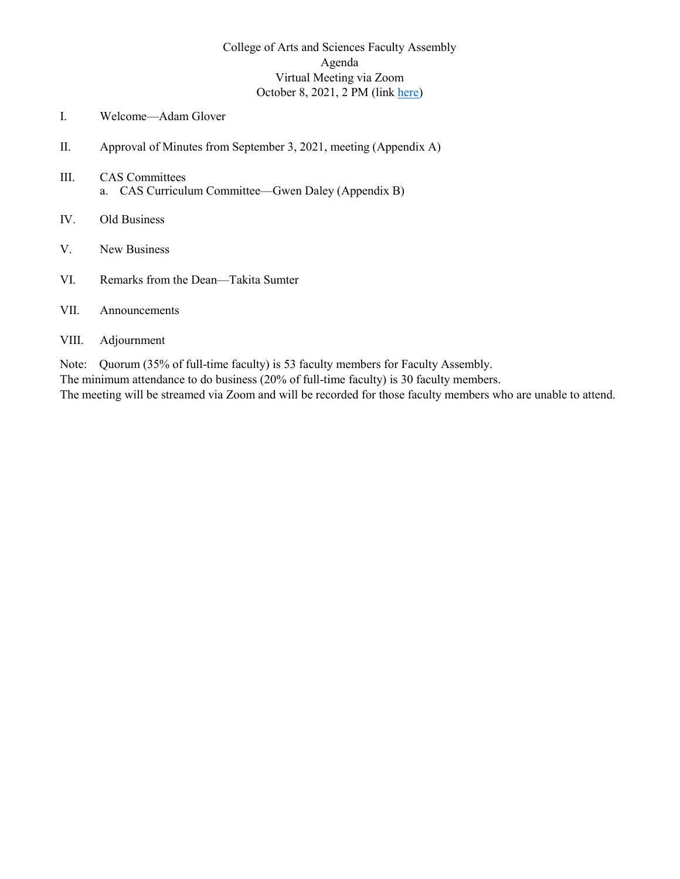## College of Arts and Sciences Faculty Assembly Agenda Virtual Meeting via Zoom October 8, 2021, 2 PM (link [here\)](https://winthrop-edu.zoom.us/j/89908587710?pwd=VHVnU0pURkNvTkp3bDNUZDhEWkY4UT09)

- <span id="page-0-0"></span>I. Welcome—Adam Glover
- II. Approval of Minutes from September 3, 2021, meeting (Appendix A)
- III. CAS Committees a. CAS Curriculum Committee—Gwen Daley (Appendix B)
- IV. Old Business
- V. New Business
- VI. Remarks from the Dean—Takita Sumter

#### VII. Announcements

#### VIII. Adjournment

Note: Quorum (35% of full-time faculty) is 53 faculty members for Faculty Assembly.

The minimum attendance to do business (20% of full-time faculty) is 30 faculty members.

The meeting will be streamed via Zoom and will be recorded for those faculty members who are unable to attend.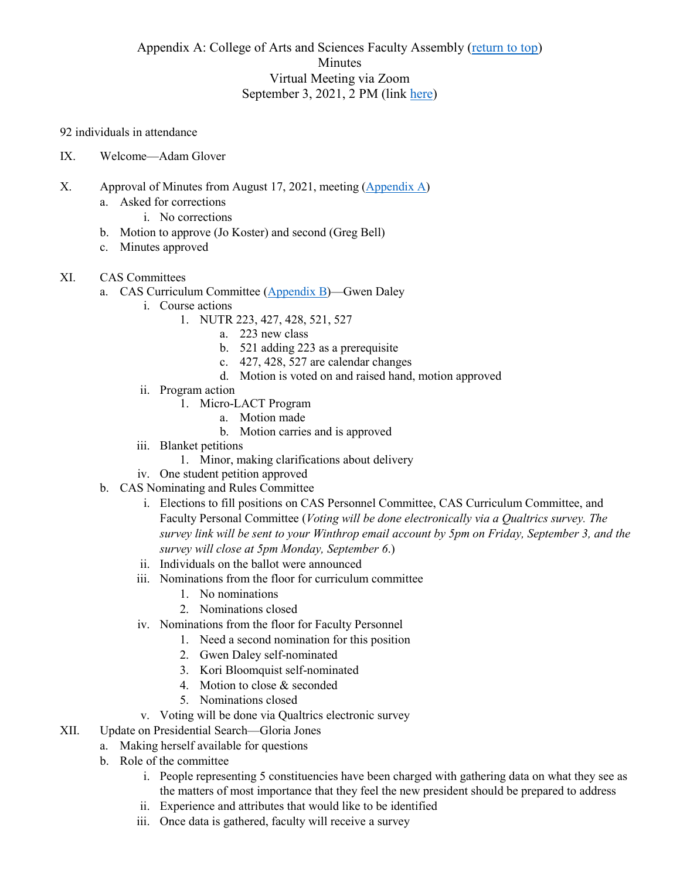## Appendix A: College of Arts and Sciences Faculty Assembly [\(return to top\)](#page-0-0) Minutes Virtual Meeting via Zoom September 3, 2021, 2 PM (link [here\)](https://winthrop-edu.zoom.us/j/89697696963?pwd=OTRpT2ZKcEZGWHhvWTEzNG1RM255Zz09)

92 individuals in attendance

- IX. Welcome—Adam Glover
- X. Approval of Minutes from August 17, 2021, meeting [\(Appendix A\)](#page-5-0)
	- a. Asked for corrections
		- i. No corrections
	- b. Motion to approve (Jo Koster) and second (Greg Bell)
	- c. Minutes approved
- XI. CAS Committees
	- a. CAS Curriculum Committee (Appendix B)—Gwen Daley
		- i. Course actions
			- 1. NUTR 223, 427, 428, 521, 527
				- a. 223 new class
				- b. 521 adding 223 as a prerequisite
				- c. 427, 428, 527 are calendar changes
				- d. Motion is voted on and raised hand, motion approved
		- ii. Program action
			- 1. Micro-LACT Program
				- a. Motion made
				- b. Motion carries and is approved
		- iii. Blanket petitions
			- 1. Minor, making clarifications about delivery
		- iv. One student petition approved
	- b. CAS Nominating and Rules Committee
		- i. Elections to fill positions on CAS Personnel Committee, CAS Curriculum Committee, and Faculty Personal Committee (*Voting will be done electronically via a Qualtrics survey. The survey link will be sent to your Winthrop email account by 5pm on Friday, September 3, and the survey will close at 5pm Monday, September 6*.)
		- ii. Individuals on the ballot were announced
		- iii. Nominations from the floor for curriculum committee
			- 1. No nominations
			- 2. Nominations closed
		- iv. Nominations from the floor for Faculty Personnel
			- 1. Need a second nomination for this position
			- 2. Gwen Daley self-nominated
			- 3. Kori Bloomquist self-nominated
			- 4. Motion to close & seconded
			- 5. Nominations closed
		- v. Voting will be done via Qualtrics electronic survey
- XII. Update on Presidential Search—Gloria Jones
	- a. Making herself available for questions
		- b. Role of the committee
			- i. People representing 5 constituencies have been charged with gathering data on what they see as the matters of most importance that they feel the new president should be prepared to address
			- ii. Experience and attributes that would like to be identified
			- iii. Once data is gathered, faculty will receive a survey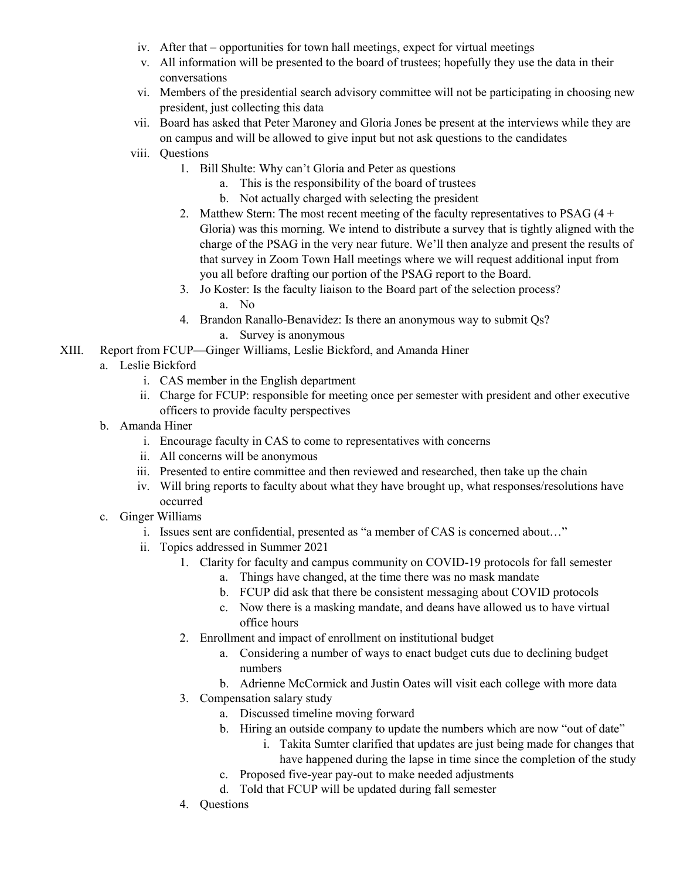- iv. After that opportunities for town hall meetings, expect for virtual meetings
- v. All information will be presented to the board of trustees; hopefully they use the data in their conversations
- vi. Members of the presidential search advisory committee will not be participating in choosing new president, just collecting this data
- vii. Board has asked that Peter Maroney and Gloria Jones be present at the interviews while they are on campus and will be allowed to give input but not ask questions to the candidates
- viii. Questions
	- 1. Bill Shulte: Why can't Gloria and Peter as questions
		- a. This is the responsibility of the board of trustees
		- b. Not actually charged with selecting the president
	- 2. Matthew Stern: The most recent meeting of the faculty representatives to PSAG  $(4 +$ Gloria) was this morning. We intend to distribute a survey that is tightly aligned with the charge of the PSAG in the very near future. We'll then analyze and present the results of that survey in Zoom Town Hall meetings where we will request additional input from you all before drafting our portion of the PSAG report to the Board.
	- 3. Jo Koster: Is the faculty liaison to the Board part of the selection process? a. No
	- 4. Brandon Ranallo-Benavidez: Is there an anonymous way to submit Qs? a. Survey is anonymous
- XIII. Report from FCUP—Ginger Williams, Leslie Bickford, and Amanda Hiner
	- a. Leslie Bickford
		- i. CAS member in the English department
		- ii. Charge for FCUP: responsible for meeting once per semester with president and other executive officers to provide faculty perspectives
	- b. Amanda Hiner
		- i. Encourage faculty in CAS to come to representatives with concerns
		- ii. All concerns will be anonymous
		- iii. Presented to entire committee and then reviewed and researched, then take up the chain
		- iv. Will bring reports to faculty about what they have brought up, what responses/resolutions have occurred
	- c. Ginger Williams
		- i. Issues sent are confidential, presented as "a member of CAS is concerned about…"
		- ii. Topics addressed in Summer 2021
			- 1. Clarity for faculty and campus community on COVID-19 protocols for fall semester
				- a. Things have changed, at the time there was no mask mandate
				- b. FCUP did ask that there be consistent messaging about COVID protocols
				- c. Now there is a masking mandate, and deans have allowed us to have virtual office hours
				- 2. Enrollment and impact of enrollment on institutional budget
					- a. Considering a number of ways to enact budget cuts due to declining budget numbers
					- b. Adrienne McCormick and Justin Oates will visit each college with more data
				- 3. Compensation salary study
					- a. Discussed timeline moving forward
					- b. Hiring an outside company to update the numbers which are now "out of date"
						- i. Takita Sumter clarified that updates are just being made for changes that have happened during the lapse in time since the completion of the study
					- c. Proposed five-year pay-out to make needed adjustments
					- d. Told that FCUP will be updated during fall semester
				- 4. Questions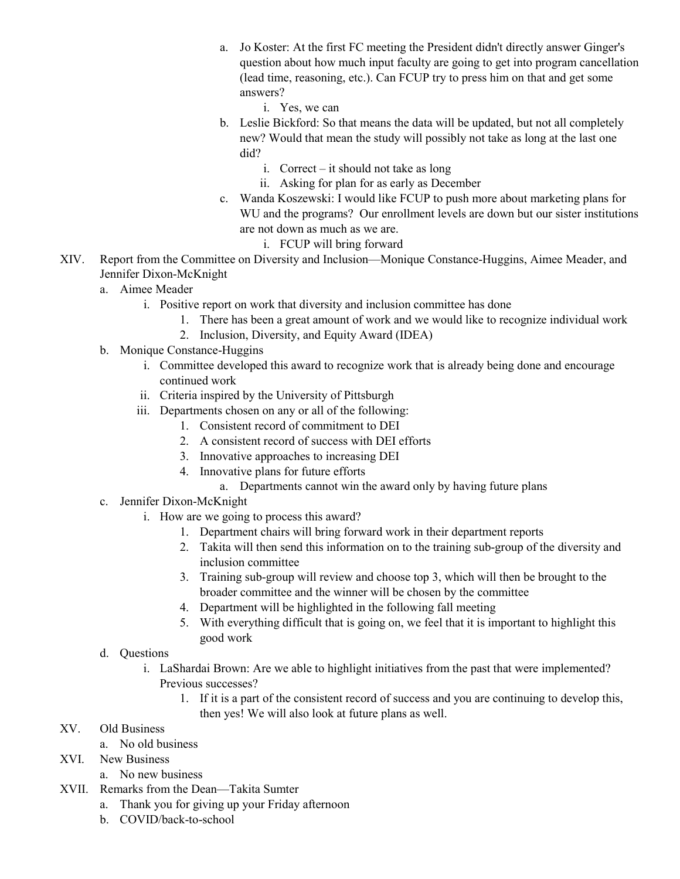- a. Jo Koster: At the first FC meeting the President didn't directly answer Ginger's question about how much input faculty are going to get into program cancellation (lead time, reasoning, etc.). Can FCUP try to press him on that and get some answers?
	- i. Yes, we can
- b. Leslie Bickford: So that means the data will be updated, but not all completely new? Would that mean the study will possibly not take as long at the last one did?
	- i. Correct it should not take as long
	- ii. Asking for plan for as early as December
- c. Wanda Koszewski: I would like FCUP to push more about marketing plans for WU and the programs? Our enrollment levels are down but our sister institutions are not down as much as we are.
	- i. FCUP will bring forward
- XIV. Report from the Committee on Diversity and Inclusion—Monique Constance-Huggins, Aimee Meader, and Jennifer Dixon-McKnight
	- a. Aimee Meader
		- i. Positive report on work that diversity and inclusion committee has done
			- 1. There has been a great amount of work and we would like to recognize individual work
			- 2. Inclusion, Diversity, and Equity Award (IDEA)
	- b. Monique Constance-Huggins
		- i. Committee developed this award to recognize work that is already being done and encourage continued work
		- ii. Criteria inspired by the University of Pittsburgh
		- iii. Departments chosen on any or all of the following:
			- 1. Consistent record of commitment to DEI
			- 2. A consistent record of success with DEI efforts
			- 3. Innovative approaches to increasing DEI
			- 4. Innovative plans for future efforts
				- a. Departments cannot win the award only by having future plans
	- c. Jennifer Dixon-McKnight
		- i. How are we going to process this award?
			- 1. Department chairs will bring forward work in their department reports
			- 2. Takita will then send this information on to the training sub-group of the diversity and inclusion committee
			- 3. Training sub-group will review and choose top 3, which will then be brought to the broader committee and the winner will be chosen by the committee
			- 4. Department will be highlighted in the following fall meeting
			- 5. With everything difficult that is going on, we feel that it is important to highlight this good work

### d. Questions

- i. LaShardai Brown: Are we able to highlight initiatives from the past that were implemented? Previous successes?
	- 1. If it is a part of the consistent record of success and you are continuing to develop this, then yes! We will also look at future plans as well.

### XV. Old Business

- a. No old business
- XVI. New Business
	- a. No new business
- XVII. Remarks from the Dean—Takita Sumter
	- a. Thank you for giving up your Friday afternoon
	- b. COVID/back-to-school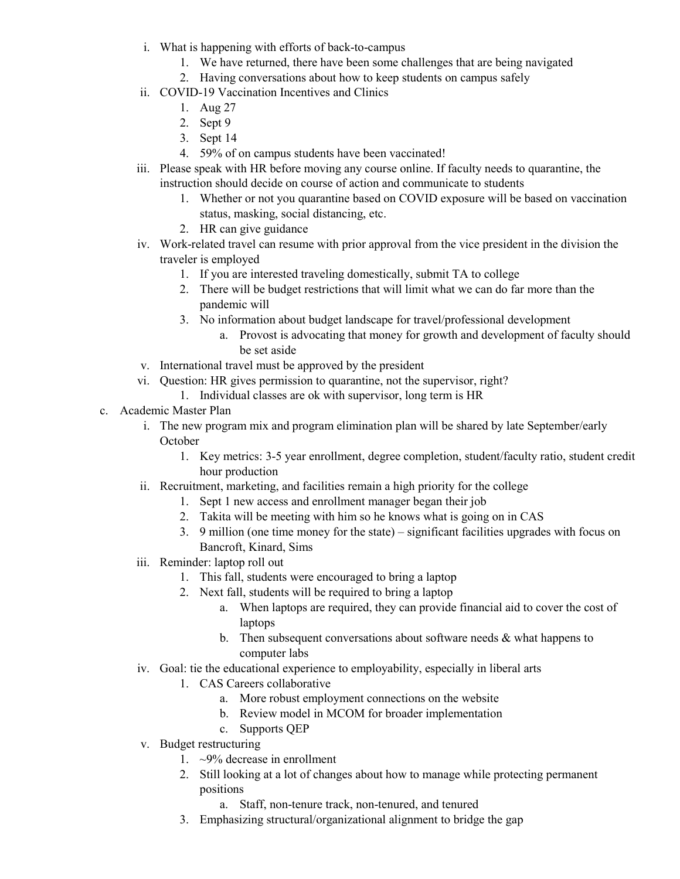- i. What is happening with efforts of back-to-campus
	- 1. We have returned, there have been some challenges that are being navigated
	- 2. Having conversations about how to keep students on campus safely
- ii. COVID-19 Vaccination Incentives and Clinics
	- 1. Aug 27
	- 2. Sept 9
	- 3. Sept 14
	- 4. 59% of on campus students have been vaccinated!
- iii. Please speak with HR before moving any course online. If faculty needs to quarantine, the instruction should decide on course of action and communicate to students
	- 1. Whether or not you quarantine based on COVID exposure will be based on vaccination status, masking, social distancing, etc.
	- 2. HR can give guidance
- iv. Work-related travel can resume with prior approval from the vice president in the division the traveler is employed
	- 1. If you are interested traveling domestically, submit TA to college
	- 2. There will be budget restrictions that will limit what we can do far more than the pandemic will
	- 3. No information about budget landscape for travel/professional development
		- a. Provost is advocating that money for growth and development of faculty should be set aside
- v. International travel must be approved by the president
- vi. Question: HR gives permission to quarantine, not the supervisor, right?
	- 1. Individual classes are ok with supervisor, long term is HR
- c. Academic Master Plan
	- i. The new program mix and program elimination plan will be shared by late September/early October
		- 1. Key metrics: 3-5 year enrollment, degree completion, student/faculty ratio, student credit hour production
	- ii. Recruitment, marketing, and facilities remain a high priority for the college
		- 1. Sept 1 new access and enrollment manager began their job
		- 2. Takita will be meeting with him so he knows what is going on in CAS
		- 3. 9 million (one time money for the state) significant facilities upgrades with focus on Bancroft, Kinard, Sims
	- iii. Reminder: laptop roll out
		- 1. This fall, students were encouraged to bring a laptop
		- 2. Next fall, students will be required to bring a laptop
			- a. When laptops are required, they can provide financial aid to cover the cost of laptops
			- b. Then subsequent conversations about software needs  $&$  what happens to computer labs
	- iv. Goal: tie the educational experience to employability, especially in liberal arts
		- 1. CAS Careers collaborative
			- a. More robust employment connections on the website
			- b. Review model in MCOM for broader implementation
			- c. Supports QEP
	- v. Budget restructuring
		- 1.  $\sim$ 9% decrease in enrollment
		- 2. Still looking at a lot of changes about how to manage while protecting permanent positions
			- a. Staff, non-tenure track, non-tenured, and tenured
		- 3. Emphasizing structural/organizational alignment to bridge the gap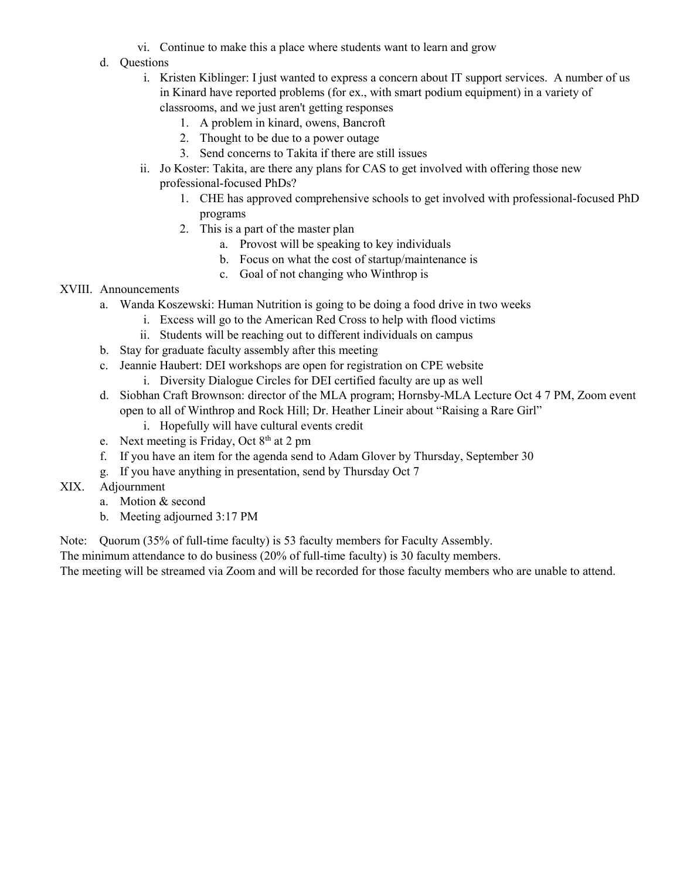- vi. Continue to make this a place where students want to learn and grow
- d. Questions
	- i. Kristen Kiblinger: I just wanted to express a concern about IT support services. A number of us in Kinard have reported problems (for ex., with smart podium equipment) in a variety of classrooms, and we just aren't getting responses
		- 1. A problem in kinard, owens, Bancroft
		- 2. Thought to be due to a power outage
		- 3. Send concerns to Takita if there are still issues
	- ii. Jo Koster: Takita, are there any plans for CAS to get involved with offering those new professional-focused PhDs?
		- 1. CHE has approved comprehensive schools to get involved with professional-focused PhD programs
		- 2. This is a part of the master plan
			- a. Provost will be speaking to key individuals
			- b. Focus on what the cost of startup/maintenance is
			- c. Goal of not changing who Winthrop is

### XVIII. Announcements

- a. Wanda Koszewski: Human Nutrition is going to be doing a food drive in two weeks
	- i. Excess will go to the American Red Cross to help with flood victims
	- ii. Students will be reaching out to different individuals on campus
- b. Stay for graduate faculty assembly after this meeting
- c. Jeannie Haubert: DEI workshops are open for registration on CPE website i. Diversity Dialogue Circles for DEI certified faculty are up as well
- d. Siobhan Craft Brownson: director of the MLA program; Hornsby-MLA Lecture Oct 4 7 PM, Zoom event open to all of Winthrop and Rock Hill; Dr. Heather Lineir about "Raising a Rare Girl"
	- i. Hopefully will have cultural events credit
- e. Next meeting is Friday, Oct  $8<sup>th</sup>$  at 2 pm
- f. If you have an item for the agenda send to Adam Glover by Thursday, September 30
- <span id="page-5-0"></span>g. If you have anything in presentation, send by Thursday Oct 7
- XIX. Adjournment
	- a. Motion & second
	- b. Meeting adjourned 3:17 PM

Note: Quorum (35% of full-time faculty) is 53 faculty members for Faculty Assembly.

The minimum attendance to do business (20% of full-time faculty) is 30 faculty members.

The meeting will be streamed via Zoom and will be recorded for those faculty members who are unable to attend.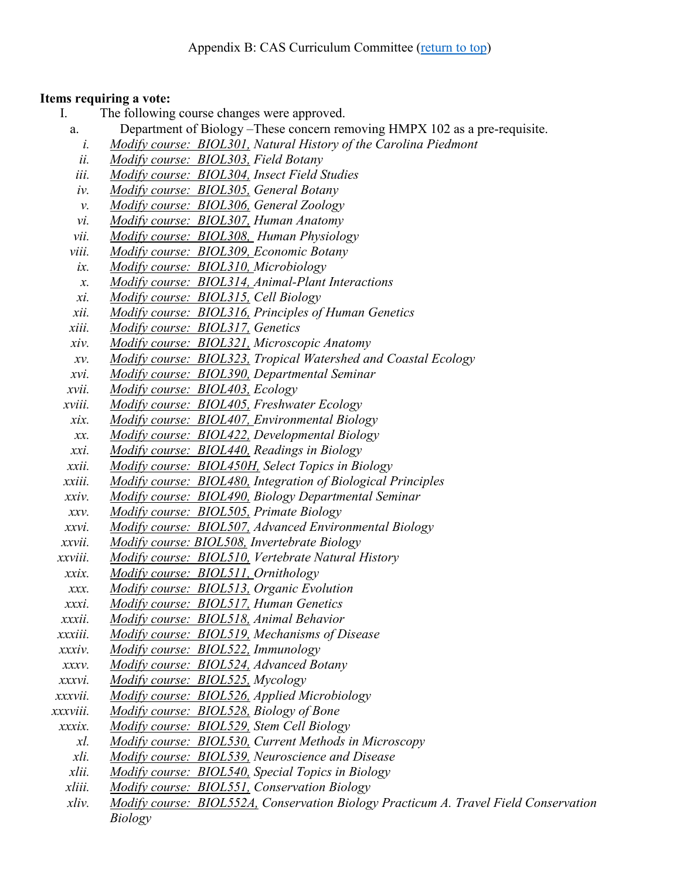## **Items requiring a vote:**

- I. The following course changes were approved.
	- a. Department of Biology –These concern removing HMPX 102 as a pre-requisite.
		- *i. Modify course: BIOL301, Natural History of the Carolina Piedmont*
		- *ii. Modify course: BIOL303, Field Botany*
	- *iii. Modify course: BIOL304, Insect Field Studies*
	- *iv. Modify course: BIOL305, General Botany*
	- *v. Modify course: BIOL306, General Zoology*
	- *vi. Modify course: BIOL307, Human Anatomy*
	- *vii. Modify course: BIOL308, Human Physiology*
	- *viii. Modify course: BIOL309, Economic Botany*
	- *ix. Modify course: BIOL310, Microbiology*
	- *x. Modify course: BIOL314, Animal-Plant Interactions*
	- *xi. Modify course: BIOL315, Cell Biology*
	- *xii. Modify course: BIOL316, Principles of Human Genetics*
	- *xiii. Modify course: BIOL317, Genetics*
	- *xiv. Modify course: BIOL321, Microscopic Anatomy*
	- *xv. Modify course: BIOL323, Tropical Watershed and Coastal Ecology*
	- *xvi. Modify course: BIOL390, Departmental Seminar*
	- *xvii. Modify course: BIOL403, Ecology*
- *xviii. Modify course: BIOL405, Freshwater Ecology*
- *xix. Modify course: BIOL407, Environmental Biology*
- *xx. Modify course: BIOL422, Developmental Biology*
- *xxi. Modify course: BIOL440, Readings in Biology*
- *xxii. Modify course: BIOL450H, Select Topics in Biology*
- *xxiii. Modify course: BIOL480, Integration of Biological Principles*
- *xxiv. Modify course: BIOL490, Biology Departmental Seminar*
- *xxv. Modify course: BIOL505, Primate Biology*
- *xxvi. Modify course: BIOL507, Advanced Environmental Biology*
- *xxvii. Modify course: BIOL508, Invertebrate Biology*
- *xxviii. Modify course: BIOL510, Vertebrate Natural History*
- *xxix. Modify course: BIOL511, Ornithology*
- *xxx. Modify course: BIOL513, Organic Evolution*
- *xxxi. Modify course: BIOL517, Human Genetics*
- *xxxii. Modify course: BIOL518, Animal Behavior*
- *xxxiii. Modify course: BIOL519, Mechanisms of Disease*
- *xxxiv. Modify course: BIOL522, Immunology*
- *xxxv. Modify course: BIOL524, Advanced Botany*
- *xxxvi. Modify course: BIOL525, Mycology*
- *xxxvii. Modify course: BIOL526, Applied Microbiology*
- *xxxviii. Modify course: BIOL528, Biology of Bone*
- *xxxix. Modify course: BIOL529, Stem Cell Biology*
	- *xl. Modify course: BIOL530, Current Methods in Microscopy*
	- *xli. Modify course: BIOL539, Neuroscience and Disease*
- *xlii. Modify course: BIOL540, Special Topics in Biology*
- *xliii. Modify course: BIOL551, Conservation Biology*
- *xliv. Modify course: BIOL552A, Conservation Biology Practicum A. Travel Field Conservation Biology*